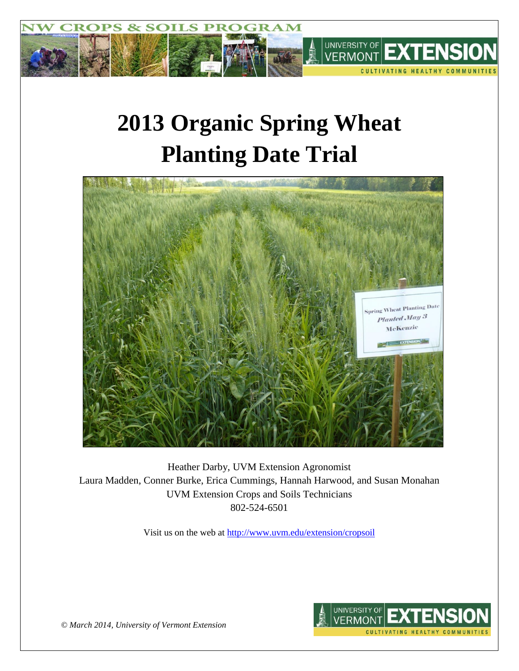

# **2013 Organic Spring Wheat Planting Date Trial**



Heather Darby, UVM Extension Agronomist Laura Madden, Conner Burke, Erica Cummings, Hannah Harwood, and Susan Monahan UVM Extension Crops and Soils Technicians 802-524-6501

Visit us on the web at<http://www.uvm.edu/extension/cropsoil>



*© March 2014, University of Vermont Extension*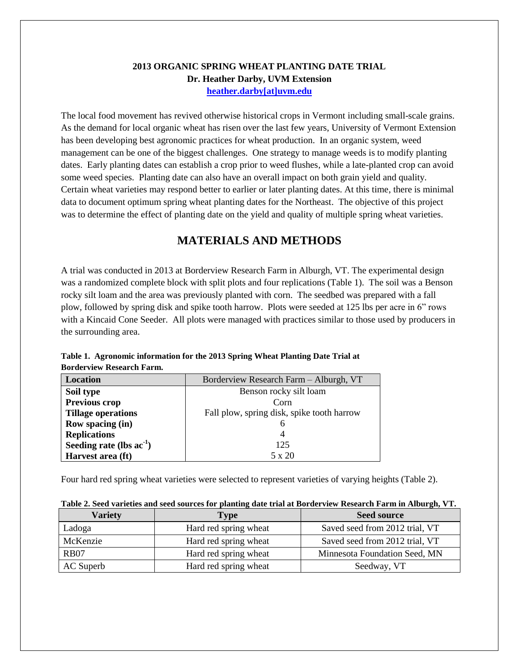## **2013 ORGANIC SPRING WHEAT PLANTING DATE TRIAL Dr. Heather Darby, UVM Extension [heather.darby\[at\]uvm.edu](mailto:hdarby@uvm.edu?subject=2011%20Spring%20Wheat%20Planting%20Date)**

The local food movement has revived otherwise historical crops in Vermont including small-scale grains. As the demand for local organic wheat has risen over the last few years, University of Vermont Extension has been developing best agronomic practices for wheat production. In an organic system, weed management can be one of the biggest challenges. One strategy to manage weeds is to modify planting dates. Early planting dates can establish a crop prior to weed flushes, while a late-planted crop can avoid some weed species. Planting date can also have an overall impact on both grain yield and quality. Certain wheat varieties may respond better to earlier or later planting dates. At this time, there is minimal data to document optimum spring wheat planting dates for the Northeast. The objective of this project was to determine the effect of planting date on the yield and quality of multiple spring wheat varieties.

# **MATERIALS AND METHODS**

A trial was conducted in 2013 at Borderview Research Farm in Alburgh, VT. The experimental design was a randomized complete block with split plots and four replications (Table 1). The soil was a Benson rocky silt loam and the area was previously planted with corn. The seedbed was prepared with a fall plow, followed by spring disk and spike tooth harrow. Plots were seeded at 125 lbs per acre in 6" rows with a Kincaid Cone Seeder. All plots were managed with practices similar to those used by producers in the surrounding area.

| Location                      | Borderview Research Farm - Alburgh, VT     |  |  |  |  |
|-------------------------------|--------------------------------------------|--|--|--|--|
| Soil type                     | Benson rocky silt loam                     |  |  |  |  |
| <b>Previous crop</b>          | Corn                                       |  |  |  |  |
| <b>Tillage operations</b>     | Fall plow, spring disk, spike tooth harrow |  |  |  |  |
| Row spacing (in)              |                                            |  |  |  |  |
| <b>Replications</b>           |                                            |  |  |  |  |
| Seeding rate (lbs $ac^{-1}$ ) | 125                                        |  |  |  |  |
| Harvest area (ft)             | 5 x 20                                     |  |  |  |  |

**Table 1. Agronomic information for the 2013 Spring Wheat Planting Date Trial at Borderview Research Farm.**

Four hard red spring wheat varieties were selected to represent varieties of varying heights (Table 2).

| <b>Variety</b> | <b>Type</b>           | <b>Seed source</b>             |  |  |
|----------------|-----------------------|--------------------------------|--|--|
| Ladoga         | Hard red spring wheat | Saved seed from 2012 trial, VT |  |  |
| McKenzie       | Hard red spring wheat | Saved seed from 2012 trial, VT |  |  |
| <b>RB07</b>    | Hard red spring wheat | Minnesota Foundation Seed, MN  |  |  |
| AC Superb      | Hard red spring wheat | Seedway, VT                    |  |  |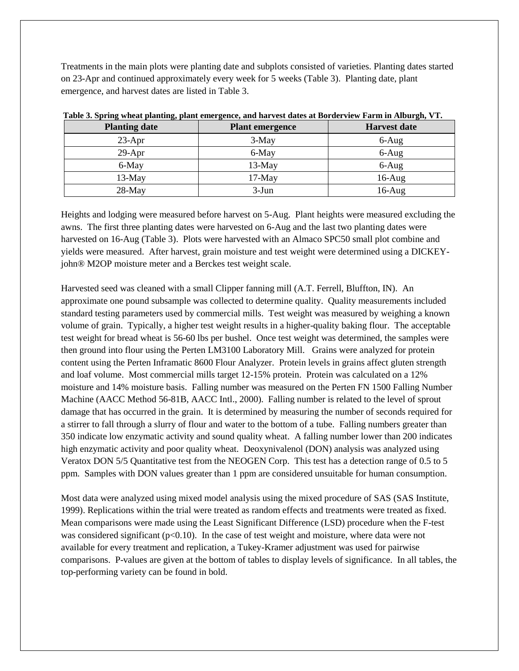Treatments in the main plots were planting date and subplots consisted of varieties. Planting dates started on 23-Apr and continued approximately every week for 5 weeks (Table 3). Planting date, plant emergence, and harvest dates are listed in Table 3.

| - -<br><b>Planting date</b> | <b>Plant emergence</b> | <b>Harvest date</b> |
|-----------------------------|------------------------|---------------------|
| $23-Apr$                    | 3-May                  | $6-Aug$             |
| $29-Apr$                    | 6-May                  | $6-Aug$             |
| 6-May                       | $13-May$               | $6-Aug$             |
| $13-May$                    | $17$ -May              | $16$ -Aug           |
| $28-May$                    | $3-Jun$                | $16$ -Aug           |

**Table 3. Spring wheat planting, plant emergence, and harvest dates at Borderview Farm in Alburgh, VT.**

Heights and lodging were measured before harvest on 5-Aug. Plant heights were measured excluding the awns. The first three planting dates were harvested on 6-Aug and the last two planting dates were harvested on 16-Aug (Table 3). Plots were harvested with an Almaco SPC50 small plot combine and yields were measured. After harvest, grain moisture and test weight were determined using a DICKEYjohn® M2OP moisture meter and a Berckes test weight scale.

Harvested seed was cleaned with a small Clipper fanning mill (A.T. Ferrell, Bluffton, IN). An approximate one pound subsample was collected to determine quality. Quality measurements included standard testing parameters used by commercial mills. Test weight was measured by weighing a known volume of grain. Typically, a higher test weight results in a higher-quality baking flour. The acceptable test weight for bread wheat is 56-60 lbs per bushel. Once test weight was determined, the samples were then ground into flour using the Perten LM3100 Laboratory Mill. Grains were analyzed for protein content using the Perten Inframatic 8600 Flour Analyzer. Protein levels in grains affect gluten strength and loaf volume. Most commercial mills target 12-15% protein. Protein was calculated on a 12% moisture and 14% moisture basis. Falling number was measured on the Perten FN 1500 Falling Number Machine (AACC Method 56-81B, AACC Intl., 2000). Falling number is related to the level of sprout damage that has occurred in the grain. It is determined by measuring the number of seconds required for a stirrer to fall through a slurry of flour and water to the bottom of a tube. Falling numbers greater than 350 indicate low enzymatic activity and sound quality wheat. A falling number lower than 200 indicates high enzymatic activity and poor quality wheat. Deoxynivalenol (DON) analysis was analyzed using Veratox DON 5/5 Quantitative test from the NEOGEN Corp. This test has a detection range of 0.5 to 5 ppm. Samples with DON values greater than 1 ppm are considered unsuitable for human consumption.

Most data were analyzed using mixed model analysis using the mixed procedure of SAS (SAS Institute, 1999). Replications within the trial were treated as random effects and treatments were treated as fixed. Mean comparisons were made using the Least Significant Difference (LSD) procedure when the F-test was considered significant  $(p<0.10)$ . In the case of test weight and moisture, where data were not available for every treatment and replication, a Tukey-Kramer adjustment was used for pairwise comparisons. P-values are given at the bottom of tables to display levels of significance. In all tables, the top-performing variety can be found in bold.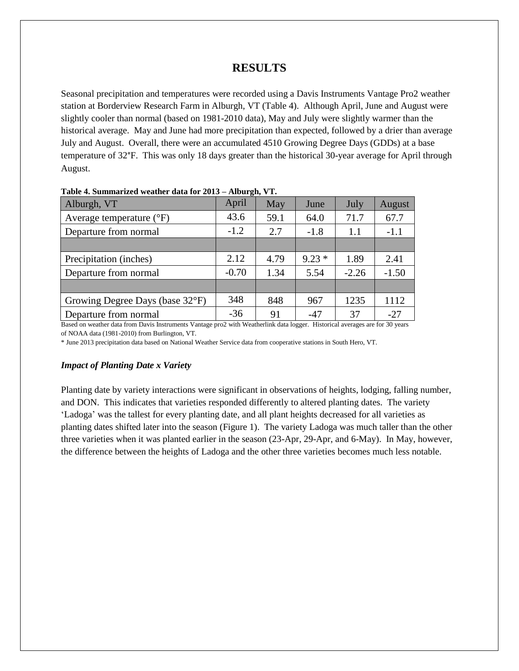## **RESULTS**

Seasonal precipitation and temperatures were recorded using a Davis Instruments Vantage Pro2 weather station at Borderview Research Farm in Alburgh, VT (Table 4). Although April, June and August were slightly cooler than normal (based on 1981-2010 data), May and July were slightly warmer than the historical average. May and June had more precipitation than expected, followed by a drier than average July and August. Overall, there were an accumulated 4510 Growing Degree Days (GDDs) at a base temperature of 32°F. This was only 18 days greater than the historical 30-year average for April through August.

| Alburgh, VT                         | April   | May  | June    | July    | August  |
|-------------------------------------|---------|------|---------|---------|---------|
| Average temperature $({}^{\circ}F)$ | 43.6    | 59.1 | 64.0    | 71.7    | 67.7    |
| Departure from normal               | $-1.2$  | 2.7  | $-1.8$  | 1.1     | $-1.1$  |
|                                     |         |      |         |         |         |
| Precipitation (inches)              | 2.12    | 4.79 | $9.23*$ | 1.89    | 2.41    |
| Departure from normal               | $-0.70$ | 1.34 | 5.54    | $-2.26$ | $-1.50$ |
|                                     |         |      |         |         |         |
| Growing Degree Days (base 32°F)     | 348     | 848  | 967     | 1235    | 1112    |
| Departure from normal               | $-36$   | 91   | $-47$   | 37      | $-27$   |

**Table 4. Summarized weather data for 2013 – Alburgh, VT.**

Based on weather data from Davis Instruments Vantage pro2 with Weatherlink data logger. Historical averages are for 30 years of NOAA data (1981-2010) from Burlington, VT.

\* June 2013 precipitation data based on National Weather Service data from cooperative stations in South Hero, VT.

#### *Impact of Planting Date x Variety*

Planting date by variety interactions were significant in observations of heights, lodging, falling number, and DON. This indicates that varieties responded differently to altered planting dates. The variety 'Ladoga' was the tallest for every planting date, and all plant heights decreased for all varieties as planting dates shifted later into the season (Figure 1). The variety Ladoga was much taller than the other three varieties when it was planted earlier in the season (23-Apr, 29-Apr, and 6-May). In May, however, the difference between the heights of Ladoga and the other three varieties becomes much less notable.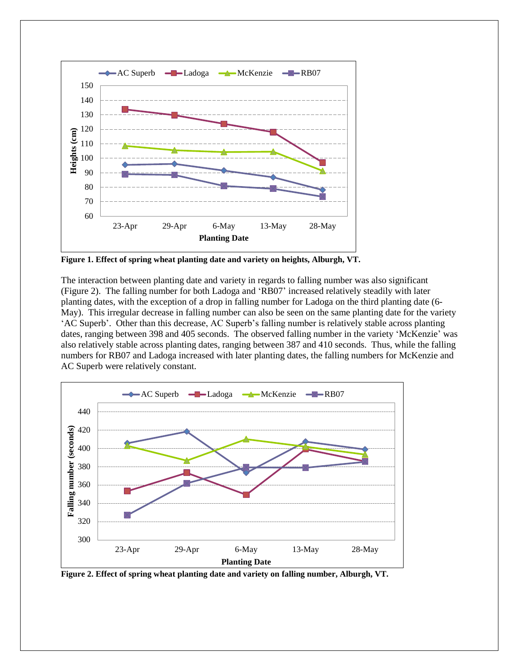

**Figure 1. Effect of spring wheat planting date and variety on heights, Alburgh, VT.**

The interaction between planting date and variety in regards to falling number was also significant (Figure 2). The falling number for both Ladoga and 'RB07' increased relatively steadily with later planting dates, with the exception of a drop in falling number for Ladoga on the third planting date (6- May). This irregular decrease in falling number can also be seen on the same planting date for the variety 'AC Superb'. Other than this decrease, AC Superb's falling number is relatively stable across planting dates, ranging between 398 and 405 seconds. The observed falling number in the variety 'McKenzie' was also relatively stable across planting dates, ranging between 387 and 410 seconds. Thus, while the falling numbers for RB07 and Ladoga increased with later planting dates, the falling numbers for McKenzie and AC Superb were relatively constant.



**Figure 2. Effect of spring wheat planting date and variety on falling number, Alburgh, VT.**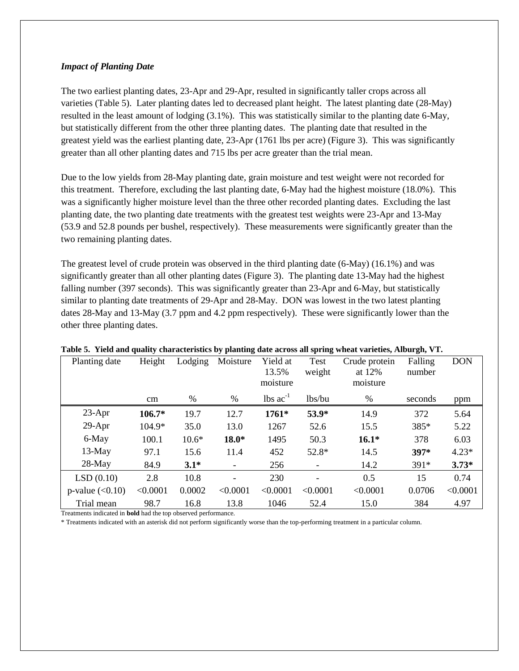#### *Impact of Planting Date*

The two earliest planting dates, 23-Apr and 29-Apr, resulted in significantly taller crops across all varieties (Table 5). Later planting dates led to decreased plant height. The latest planting date (28-May) resulted in the least amount of lodging (3.1%). This was statistically similar to the planting date 6-May, but statistically different from the other three planting dates. The planting date that resulted in the greatest yield was the earliest planting date, 23-Apr (1761 lbs per acre) (Figure 3). This was significantly greater than all other planting dates and 715 lbs per acre greater than the trial mean.

Due to the low yields from 28-May planting date, grain moisture and test weight were not recorded for this treatment. Therefore, excluding the last planting date, 6-May had the highest moisture (18.0%). This was a significantly higher moisture level than the three other recorded planting dates. Excluding the last planting date, the two planting date treatments with the greatest test weights were 23-Apr and 13-May (53.9 and 52.8 pounds per bushel, respectively). These measurements were significantly greater than the two remaining planting dates.

The greatest level of crude protein was observed in the third planting date (6-May) (16.1%) and was significantly greater than all other planting dates (Figure 3). The planting date 13-May had the highest falling number (397 seconds). This was significantly greater than 23-Apr and 6-May, but statistically similar to planting date treatments of 29-Apr and 28-May. DON was lowest in the two latest planting dates 28-May and 13-May (3.7 ppm and 4.2 ppm respectively). These were significantly lower than the other three planting dates.

| Planting date     | Height   | Lodging | Moisture                 | Yield at                      | <b>Test</b> | Crude protein | Falling | <b>DON</b> |
|-------------------|----------|---------|--------------------------|-------------------------------|-------------|---------------|---------|------------|
|                   |          |         |                          | 13.5%                         | weight      | at 12%        | number  |            |
|                   |          |         |                          | moisture                      |             | moisture      |         |            |
|                   | cm       | $\%$    | $\%$                     | $\text{lbs}$ ac <sup>-1</sup> | lbs/bu      | %             | seconds | ppm        |
| $23-Apr$          | $106.7*$ | 19.7    | 12.7                     | 1761*                         | 53.9*       | 14.9          | 372     | 5.64       |
| $29-Apr$          | 104.9*   | 35.0    | 13.0                     | 1267                          | 52.6        | 15.5          | 385*    | 5.22       |
| 6-May             | 100.1    | $10.6*$ | 18.0*                    | 1495                          | 50.3        | $16.1*$       | 378     | 6.03       |
| $13-May$          | 97.1     | 15.6    | 11.4                     | 452                           | 52.8*       | 14.5          | 397*    | $4.23*$    |
| $28-May$          | 84.9     | $3.1*$  | $\overline{\phantom{a}}$ | 256                           |             | 14.2          | 391*    | $3.73*$    |
| LSD(0.10)         | 2.8      | 10.8    | $\overline{\phantom{a}}$ | 230                           |             | 0.5           | 15      | 0.74       |
| p-value $(<0.10)$ | < 0.0001 | 0.0002  | < 0.0001                 | < 0.0001                      | < 0.0001    | < 0.0001      | 0.0706  | < 0.0001   |
| Trial mean        | 98.7     | 16.8    | 13.8                     | 1046                          | 52.4        | 15.0          | 384     | 4.97       |

#### **Table 5. Yield and quality characteristics by planting date across all spring wheat varieties, Alburgh, VT.**

Treatments indicated in **bold** had the top observed performance.

\* Treatments indicated with an asterisk did not perform significantly worse than the top-performing treatment in a particular column.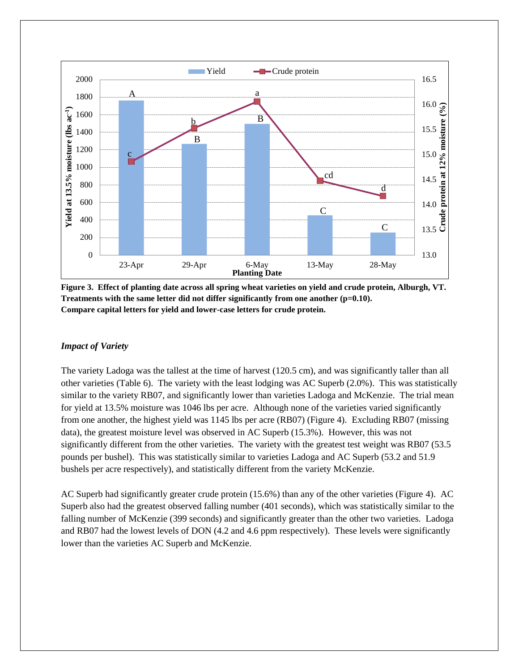



#### *Impact of Variety*

The variety Ladoga was the tallest at the time of harvest (120.5 cm), and was significantly taller than all other varieties (Table 6). The variety with the least lodging was AC Superb (2.0%). This was statistically similar to the variety RB07, and significantly lower than varieties Ladoga and McKenzie. The trial mean for yield at 13.5% moisture was 1046 lbs per acre. Although none of the varieties varied significantly from one another, the highest yield was 1145 lbs per acre (RB07) (Figure 4). Excluding RB07 (missing data), the greatest moisture level was observed in AC Superb (15.3%). However, this was not significantly different from the other varieties. The variety with the greatest test weight was RB07 (53.5) pounds per bushel). This was statistically similar to varieties Ladoga and AC Superb (53.2 and 51.9 bushels per acre respectively), and statistically different from the variety McKenzie.

AC Superb had significantly greater crude protein (15.6%) than any of the other varieties (Figure 4). AC Superb also had the greatest observed falling number (401 seconds), which was statistically similar to the falling number of McKenzie (399 seconds) and significantly greater than the other two varieties. Ladoga and RB07 had the lowest levels of DON (4.2 and 4.6 ppm respectively). These levels were significantly lower than the varieties AC Superb and McKenzie.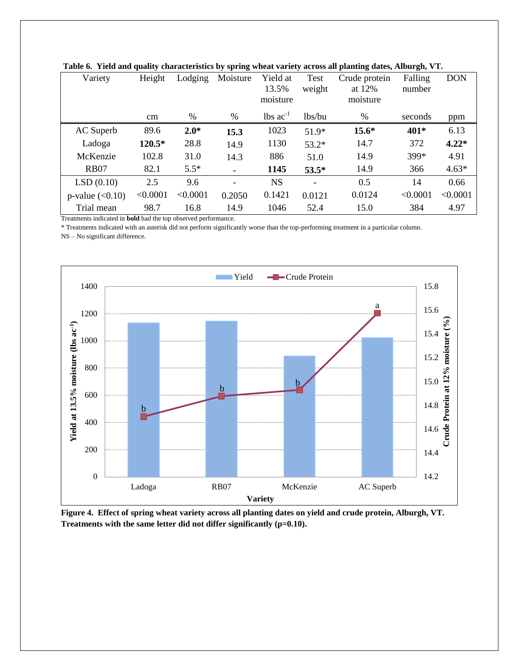| Variety           | Height   | Lodging  | Moisture                 | Yield at<br>13.5%<br>moisture | Test<br>weight           | Crude protein<br>at 12%<br>moisture | Falling<br>number | <b>DON</b> |
|-------------------|----------|----------|--------------------------|-------------------------------|--------------------------|-------------------------------------|-------------------|------------|
|                   | cm       | %        | $\%$                     | $\text{lbs}$ ac <sup>-1</sup> | lbs/bu                   | $\%$                                | seconds           | ppm        |
| AC Superb         | 89.6     | $2.0*$   | 15.3                     | 1023                          | $51.9*$                  | $15.6*$                             | 401*              | 6.13       |
| Ladoga            | 120.5*   | 28.8     | 14.9                     | 1130                          | $53.2*$                  | 14.7                                | 372               | $4.22*$    |
| McKenzie          | 102.8    | 31.0     | 14.3                     | 886                           | 51.0                     | 14.9                                | 399*              | 4.91       |
| <b>RB07</b>       | 82.1     | $5.5*$   |                          | 1145                          | $53.5*$                  | 14.9                                | 366               | $4.63*$    |
| LSD(0.10)         | 2.5      | 9.6      | $\overline{\phantom{0}}$ | <b>NS</b>                     | $\overline{\phantom{a}}$ | 0.5                                 | 14                | 0.66       |
| p-value $(<0.10)$ | < 0.0001 | < 0.0001 | 0.2050                   | 0.1421                        | 0.0121                   | 0.0124                              | < 0.0001          | < 0.0001   |
| Trial mean        | 98.7     | 16.8     | 14.9                     | 1046                          | 52.4                     | 15.0                                | 384               | 4.97       |

**Table 6. Yield and quality characteristics by spring wheat variety across all planting dates, Alburgh, VT.**

Treatments indicated in **bold** had the top observed performance.

\* Treatments indicated with an asterisk did not perform significantly worse than the top-performing treatment in a particular column.

NS – No significant difference.



**Figure 4. Effect of spring wheat variety across all planting dates on yield and crude protein, Alburgh, VT. Treatments with the same letter did not differ significantly (p=0.10).**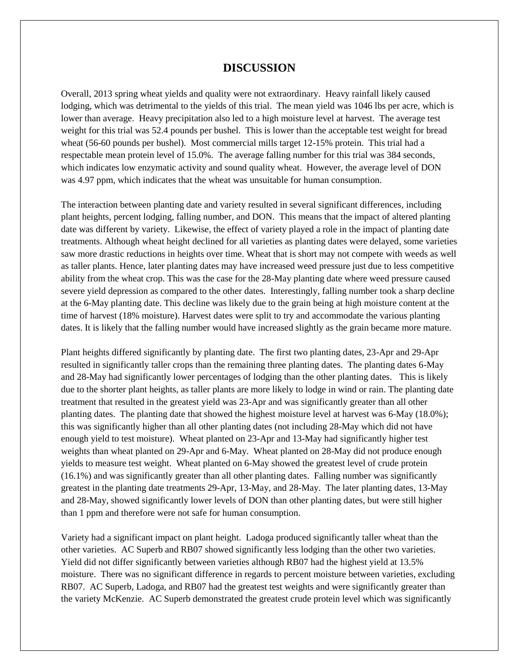### **DISCUSSION**

Overall, 2013 spring wheat yields and quality were not extraordinary. Heavy rainfall likely caused lodging, which was detrimental to the yields of this trial. The mean yield was 1046 lbs per acre, which is lower than average. Heavy precipitation also led to a high moisture level at harvest. The average test weight for this trial was 52.4 pounds per bushel. This is lower than the acceptable test weight for bread wheat (56-60 pounds per bushel). Most commercial mills target 12-15% protein. This trial had a respectable mean protein level of 15.0%. The average falling number for this trial was 384 seconds, which indicates low enzymatic activity and sound quality wheat. However, the average level of DON was 4.97 ppm, which indicates that the wheat was unsuitable for human consumption.

The interaction between planting date and variety resulted in several significant differences, including plant heights, percent lodging, falling number, and DON. This means that the impact of altered planting date was different by variety. Likewise, the effect of variety played a role in the impact of planting date treatments. Although wheat height declined for all varieties as planting dates were delayed, some varieties saw more drastic reductions in heights over time. Wheat that is short may not compete with weeds as well as taller plants. Hence, later planting dates may have increased weed pressure just due to less competitive ability from the wheat crop. This was the case for the 28-May planting date where weed pressure caused severe yield depression as compared to the other dates. Interestingly, falling number took a sharp decline at the 6-May planting date. This decline was likely due to the grain being at high moisture content at the time of harvest (18% moisture). Harvest dates were split to try and accommodate the various planting dates. It is likely that the falling number would have increased slightly as the grain became more mature.

Plant heights differed significantly by planting date. The first two planting dates, 23-Apr and 29-Apr resulted in significantly taller crops than the remaining three planting dates. The planting dates 6-May and 28-May had significantly lower percentages of lodging than the other planting dates. This is likely due to the shorter plant heights, as taller plants are more likely to lodge in wind or rain. The planting date treatment that resulted in the greatest yield was 23-Apr and was significantly greater than all other planting dates. The planting date that showed the highest moisture level at harvest was 6-May (18.0%); this was significantly higher than all other planting dates (not including 28-May which did not have enough yield to test moisture). Wheat planted on 23-Apr and 13-May had significantly higher test weights than wheat planted on 29-Apr and 6-May. Wheat planted on 28-May did not produce enough yields to measure test weight. Wheat planted on 6-May showed the greatest level of crude protein (16.1%) and was significantly greater than all other planting dates. Falling number was significantly greatest in the planting date treatments 29-Apr, 13-May, and 28-May. The later planting dates, 13-May and 28-May, showed significantly lower levels of DON than other planting dates, but were still higher than 1 ppm and therefore were not safe for human consumption.

Variety had a significant impact on plant height. Ladoga produced significantly taller wheat than the other varieties. AC Superb and RB07 showed significantly less lodging than the other two varieties. Yield did not differ significantly between varieties although RB07 had the highest yield at 13.5% moisture. There was no significant difference in regards to percent moisture between varieties, excluding RB07. AC Superb, Ladoga, and RB07 had the greatest test weights and were significantly greater than the variety McKenzie. AC Superb demonstrated the greatest crude protein level which was significantly